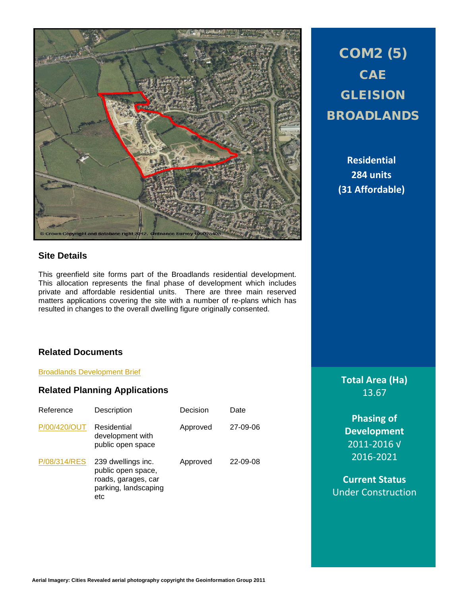

# **Site Details**

This greenfield site forms part of the Broadlands residential development. This allocation represents the final phase of development which includes private and affordable residential units. There are three main reserved matters applications covering the site with a number of re-plans which has resulted in changes to the overall dwelling figure originally consented.

# **Related Documents**

[Broadlands Development Brief](http://www1.bridgend.gov.uk/media/144056/Broadlands_development_brief.pdf)

# **Related Planning Applications**

| Reference    | Description                                                                                    | Decision | Date     |
|--------------|------------------------------------------------------------------------------------------------|----------|----------|
| P/00/420/OUT | Residential<br>development with<br>public open space                                           | Approved | 27-09-06 |
| P/08/314/RES | 239 dwellings inc.<br>public open space,<br>roads, garages, car<br>parking, landscaping<br>etc | Approved | 22-09-08 |

COM2 (5) **CAE** GLEISION BROADLANDS

> **Residential 284 units (31 Affordable)**

**Total Area (Ha)** 13.67

**Phasing of Development** 2011-2016 √ 2016-2021

**Current Status** Under Construction